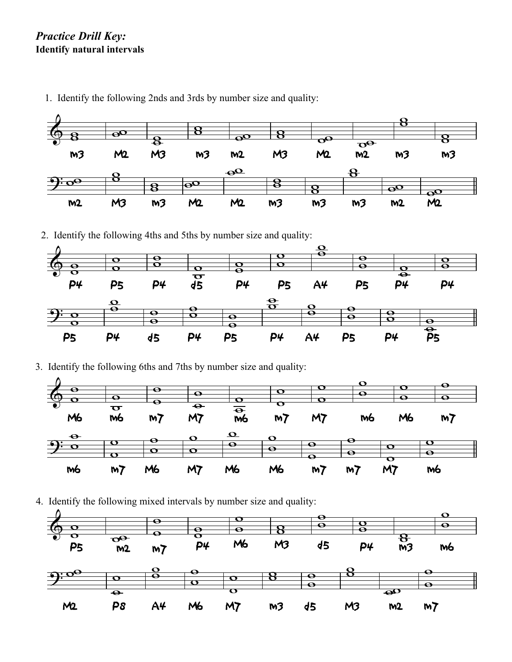## *Practice Drill Key:* **Identify natural intervals**



1. Identify the following 2nds and 3rds by number size and quality: